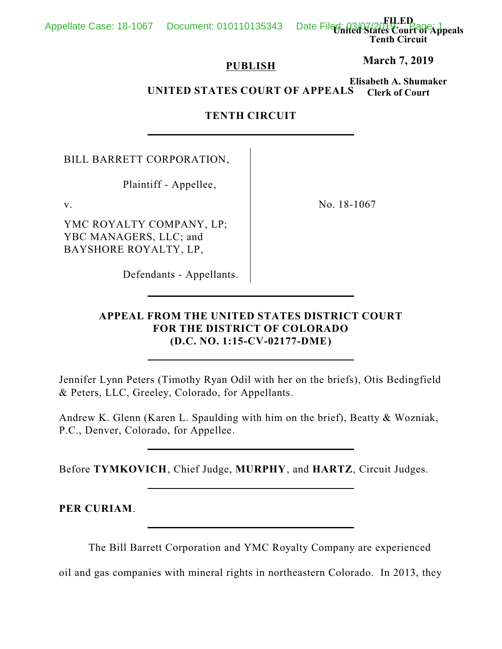**FILED United States Court of Appeals Tenth Circuit**

# **PUBLISH**

**March 7, 2019**

**Elisabeth A. Shumaker Clerk of Court UNITED STATES COURT OF APPEALS**

# **TENTH CIRCUIT**

BILL BARRETT CORPORATION,

Plaintiff - Appellee,

YMC ROYALTY COMPANY, LP; YBC MANAGERS, LLC; and BAYSHORE ROYALTY, LP,

v. No. 18-1067

Defendants - Appellants.

# **APPEAL FROM THE UNITED STATES DISTRICT COURT FOR THE DISTRICT OF COLORADO (D.C. NO. 1:15-CV-02177-DME)**

Jennifer Lynn Peters (Timothy Ryan Odil with her on the briefs), Otis Bedingfield & Peters, LLC, Greeley, Colorado, for Appellants.

Andrew K. Glenn (Karen L. Spaulding with him on the brief), Beatty & Wozniak, P.C., Denver, Colorado, for Appellee.

Before **TYMKOVICH**, Chief Judge, **MURPHY**, and **HARTZ**, Circuit Judges.

**PER CURIAM**.

The Bill Barrett Corporation and YMC Royalty Company are experienced

oil and gas companies with mineral rights in northeastern Colorado. In 2013, they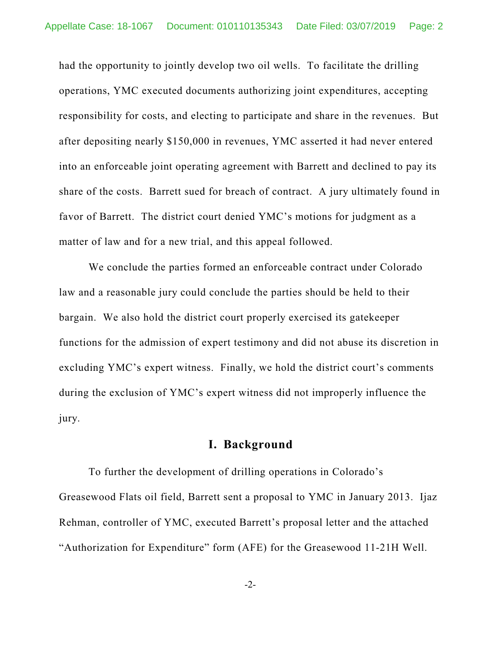had the opportunity to jointly develop two oil wells. To facilitate the drilling operations, YMC executed documents authorizing joint expenditures, accepting responsibility for costs, and electing to participate and share in the revenues. But after depositing nearly \$150,000 in revenues, YMC asserted it had never entered into an enforceable joint operating agreement with Barrett and declined to pay its share of the costs. Barrett sued for breach of contract. A jury ultimately found in favor of Barrett. The district court denied YMC's motions for judgment as a matter of law and for a new trial, and this appeal followed.

We conclude the parties formed an enforceable contract under Colorado law and a reasonable jury could conclude the parties should be held to their bargain. We also hold the district court properly exercised its gatekeeper functions for the admission of expert testimony and did not abuse its discretion in excluding YMC's expert witness. Finally, we hold the district court's comments during the exclusion of YMC's expert witness did not improperly influence the jury.

# **I. Background**

To further the development of drilling operations in Colorado's Greasewood Flats oil field, Barrett sent a proposal to YMC in January 2013. Ijaz Rehman, controller of YMC, executed Barrett's proposal letter and the attached "Authorization for Expenditure" form (AFE) for the Greasewood 11-21H Well.

-2-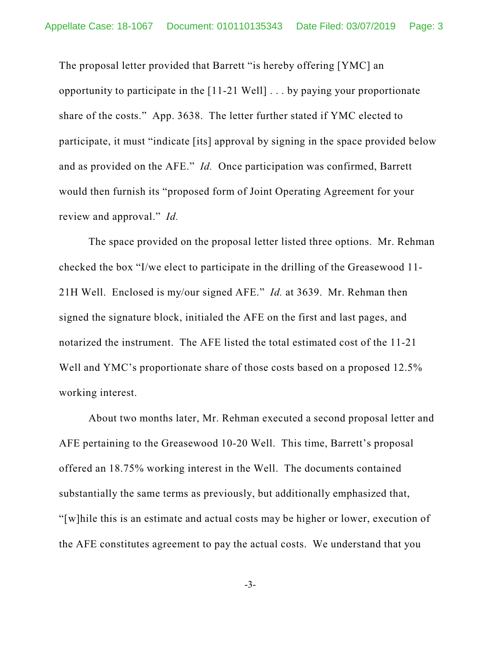The proposal letter provided that Barrett "is hereby offering [YMC] an opportunity to participate in the [11-21 Well] . . . by paying your proportionate share of the costs." App. 3638. The letter further stated if YMC elected to participate, it must "indicate [its] approval by signing in the space provided below and as provided on the AFE." *Id.* Once participation was confirmed, Barrett would then furnish its "proposed form of Joint Operating Agreement for your review and approval." *Id.*

The space provided on the proposal letter listed three options. Mr. Rehman checked the box "I/we elect to participate in the drilling of the Greasewood 11- 21H Well. Enclosed is my/our signed AFE." *Id.* at 3639. Mr. Rehman then signed the signature block, initialed the AFE on the first and last pages, and notarized the instrument. The AFE listed the total estimated cost of the 11-21 Well and YMC's proportionate share of those costs based on a proposed 12.5% working interest.

About two months later, Mr. Rehman executed a second proposal letter and AFE pertaining to the Greasewood 10-20 Well. This time, Barrett's proposal offered an 18.75% working interest in the Well. The documents contained substantially the same terms as previously, but additionally emphasized that, "[w]hile this is an estimate and actual costs may be higher or lower, execution of the AFE constitutes agreement to pay the actual costs. We understand that you

-3-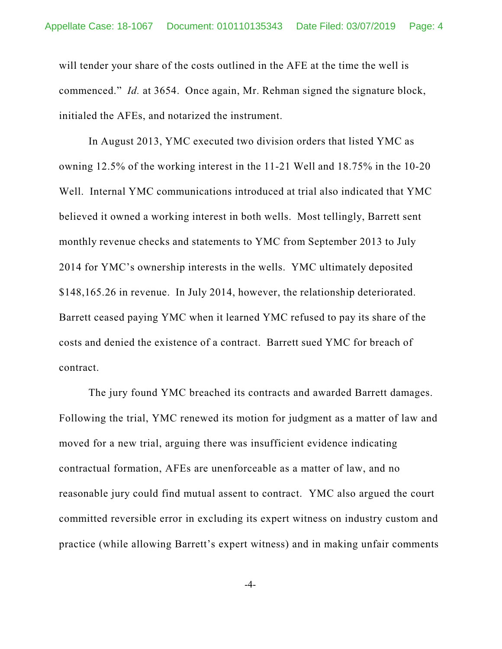will tender your share of the costs outlined in the AFE at the time the well is commenced." *Id.* at 3654. Once again, Mr. Rehman signed the signature block, initialed the AFEs, and notarized the instrument.

In August 2013, YMC executed two division orders that listed YMC as owning 12.5% of the working interest in the 11-21 Well and 18.75% in the 10-20 Well. Internal YMC communications introduced at trial also indicated that YMC believed it owned a working interest in both wells. Most tellingly, Barrett sent monthly revenue checks and statements to YMC from September 2013 to July 2014 for YMC's ownership interests in the wells. YMC ultimately deposited \$148,165.26 in revenue. In July 2014, however, the relationship deteriorated. Barrett ceased paying YMC when it learned YMC refused to pay its share of the costs and denied the existence of a contract. Barrett sued YMC for breach of contract.

The jury found YMC breached its contracts and awarded Barrett damages. Following the trial, YMC renewed its motion for judgment as a matter of law and moved for a new trial, arguing there was insufficient evidence indicating contractual formation, AFEs are unenforceable as a matter of law, and no reasonable jury could find mutual assent to contract. YMC also argued the court committed reversible error in excluding its expert witness on industry custom and practice (while allowing Barrett's expert witness) and in making unfair comments

-4-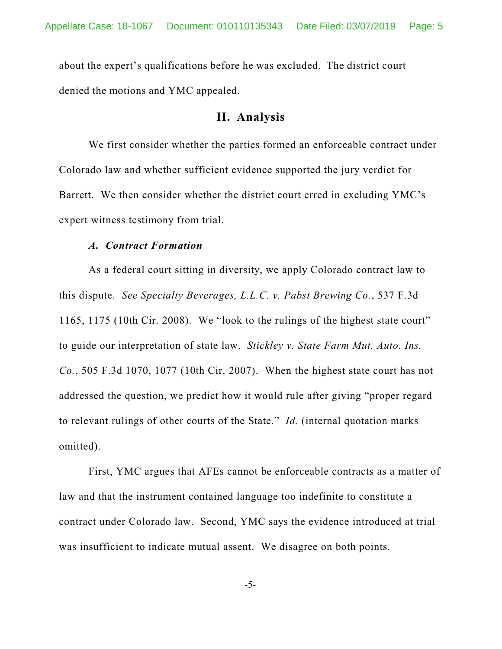about the expert's qualifications before he was excluded. The district court denied the motions and YMC appealed.

#### **II. Analysis**

We first consider whether the parties formed an enforceable contract under Colorado law and whether sufficient evidence supported the jury verdict for Barrett. We then consider whether the district court erred in excluding YMC's expert witness testimony from trial.

#### *A. Contract Formation*

As a federal court sitting in diversity, we apply Colorado contract law to this dispute. *See Specialty Beverages, L.L.C. v. Pabst Brewing Co.*, 537 F.3d 1165, 1175 (10th Cir. 2008). We "look to the rulings of the highest state court" to guide our interpretation of state law. *Stickley v. State Farm Mut. Auto. Ins. Co.*, 505 F.3d 1070, 1077 (10th Cir. 2007). When the highest state court has not addressed the question, we predict how it would rule after giving "proper regard to relevant rulings of other courts of the State." *Id.* (internal quotation marks omitted).

First, YMC argues that AFEs cannot be enforceable contracts as a matter of law and that the instrument contained language too indefinite to constitute a contract under Colorado law. Second, YMC says the evidence introduced at trial was insufficient to indicate mutual assent. We disagree on both points.

-5-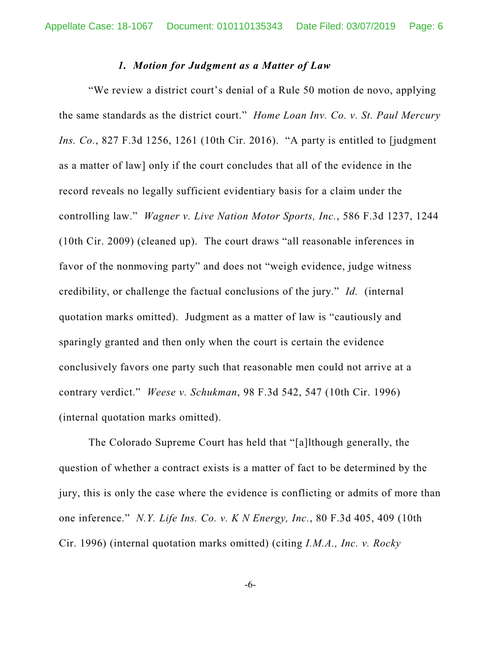#### *1. Motion for Judgment as a Matter of Law*

"We review a district court's denial of a Rule 50 motion de novo, applying the same standards as the district court." *Home Loan Inv. Co. v. St. Paul Mercury Ins. Co.*, 827 F.3d 1256, 1261 (10th Cir. 2016). "A party is entitled to [judgment as a matter of law] only if the court concludes that all of the evidence in the record reveals no legally sufficient evidentiary basis for a claim under the controlling law." *Wagner v. Live Nation Motor Sports, Inc.*, 586 F.3d 1237, 1244 (10th Cir. 2009) (cleaned up). The court draws "all reasonable inferences in favor of the nonmoving party" and does not "weigh evidence, judge witness credibility, or challenge the factual conclusions of the jury." *Id.* (internal quotation marks omitted). Judgment as a matter of law is "cautiously and sparingly granted and then only when the court is certain the evidence conclusively favors one party such that reasonable men could not arrive at a contrary verdict." *Weese v. Schukman*, 98 F.3d 542, 547 (10th Cir. 1996) (internal quotation marks omitted).

The Colorado Supreme Court has held that "[a]lthough generally, the question of whether a contract exists is a matter of fact to be determined by the jury, this is only the case where the evidence is conflicting or admits of more than one inference." *N.Y. Life Ins. Co. v. K N Energy, Inc.*, 80 F.3d 405, 409 (10th Cir. 1996) (internal quotation marks omitted) (citing *I.M.A., Inc. v. Rocky*

-6-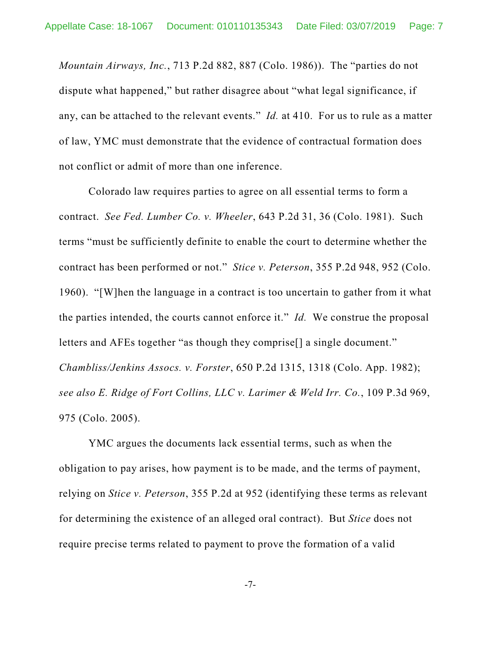*Mountain Airways, Inc.*, 713 P.2d 882, 887 (Colo. 1986)). The "parties do not dispute what happened," but rather disagree about "what legal significance, if any, can be attached to the relevant events." *Id.* at 410. For us to rule as a matter of law, YMC must demonstrate that the evidence of contractual formation does not conflict or admit of more than one inference.

Colorado law requires parties to agree on all essential terms to form a contract. *See Fed. Lumber Co. v. Wheeler*, 643 P.2d 31, 36 (Colo. 1981). Such terms "must be sufficiently definite to enable the court to determine whether the contract has been performed or not." *Stice v. Peterson*, 355 P.2d 948, 952 (Colo. 1960). "[W]hen the language in a contract is too uncertain to gather from it what the parties intended, the courts cannot enforce it." *Id.* We construe the proposal letters and AFEs together "as though they comprise[] a single document." *Chambliss/Jenkins Assocs. v. Forster*, 650 P.2d 1315, 1318 (Colo. App. 1982); *see also E. Ridge of Fort Collins, LLC v. Larimer & Weld Irr. Co.*, 109 P.3d 969, 975 (Colo. 2005).

YMC argues the documents lack essential terms, such as when the obligation to pay arises, how payment is to be made, and the terms of payment, relying on *Stice v. Peterson*, 355 P.2d at 952 (identifying these terms as relevant for determining the existence of an alleged oral contract). But *Stice* does not require precise terms related to payment to prove the formation of a valid

-7-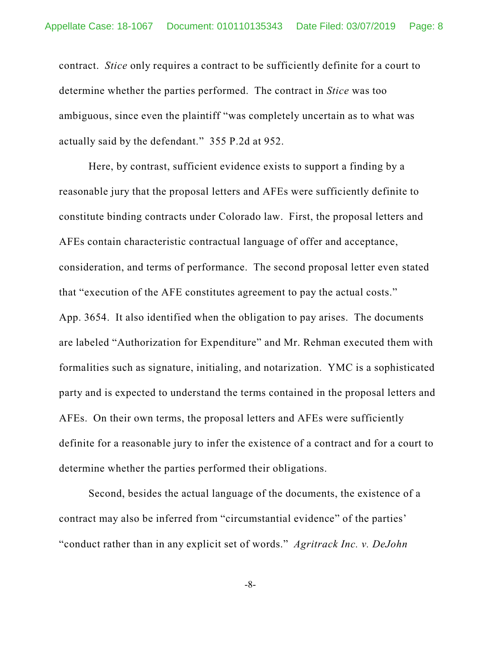contract. *Stice* only requires a contract to be sufficiently definite for a court to determine whether the parties performed. The contract in *Stice* was too ambiguous, since even the plaintiff "was completely uncertain as to what was actually said by the defendant." 355 P.2d at 952.

Here, by contrast, sufficient evidence exists to support a finding by a reasonable jury that the proposal letters and AFEs were sufficiently definite to constitute binding contracts under Colorado law. First, the proposal letters and AFEs contain characteristic contractual language of offer and acceptance, consideration, and terms of performance. The second proposal letter even stated that "execution of the AFE constitutes agreement to pay the actual costs." App. 3654. It also identified when the obligation to pay arises. The documents are labeled "Authorization for Expenditure" and Mr. Rehman executed them with formalities such as signature, initialing, and notarization. YMC is a sophisticated party and is expected to understand the terms contained in the proposal letters and AFEs. On their own terms, the proposal letters and AFEs were sufficiently definite for a reasonable jury to infer the existence of a contract and for a court to determine whether the parties performed their obligations.

Second, besides the actual language of the documents, the existence of a contract may also be inferred from "circumstantial evidence" of the parties' "conduct rather than in any explicit set of words." *Agritrack Inc. v. DeJohn*

-8-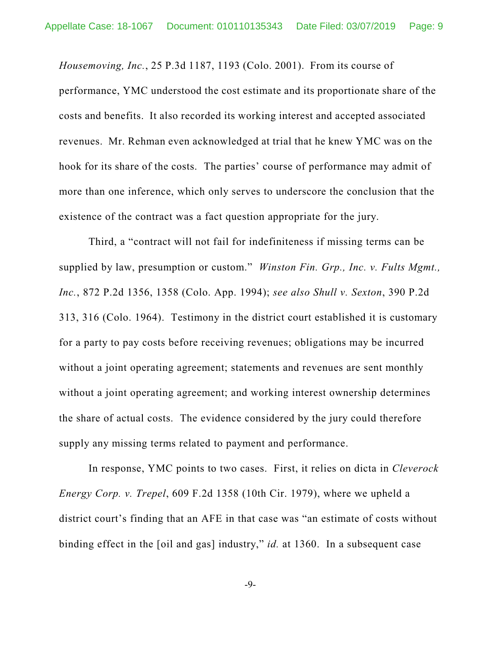*Housemoving, Inc.*, 25 P.3d 1187, 1193 (Colo. 2001). From its course of performance, YMC understood the cost estimate and its proportionate share of the costs and benefits. It also recorded its working interest and accepted associated revenues. Mr. Rehman even acknowledged at trial that he knew YMC was on the hook for its share of the costs. The parties' course of performance may admit of more than one inference, which only serves to underscore the conclusion that the existence of the contract was a fact question appropriate for the jury.

Third, a "contract will not fail for indefiniteness if missing terms can be supplied by law, presumption or custom." *Winston Fin. Grp., Inc. v. Fults Mgmt., Inc.*, 872 P.2d 1356, 1358 (Colo. App. 1994); *see also Shull v. Sexton*, 390 P.2d 313, 316 (Colo. 1964). Testimony in the district court established it is customary for a party to pay costs before receiving revenues; obligations may be incurred without a joint operating agreement; statements and revenues are sent monthly without a joint operating agreement; and working interest ownership determines the share of actual costs. The evidence considered by the jury could therefore supply any missing terms related to payment and performance.

In response, YMC points to two cases. First, it relies on dicta in *Cleverock Energy Corp. v. Trepel*, 609 F.2d 1358 (10th Cir. 1979), where we upheld a district court's finding that an AFE in that case was "an estimate of costs without binding effect in the [oil and gas] industry," *id.* at 1360. In a subsequent case

-9-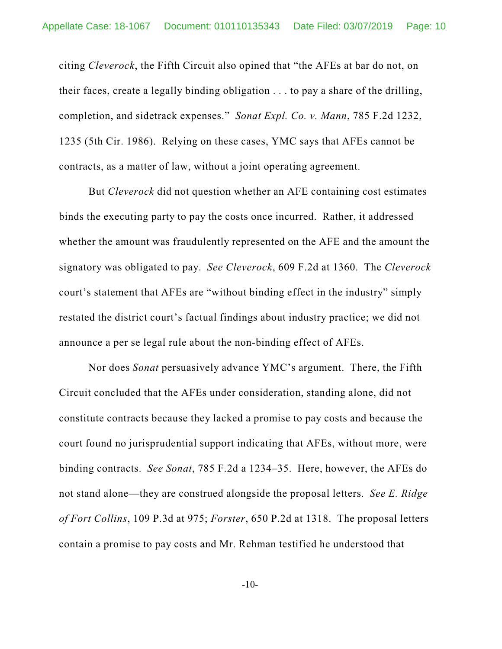citing *Cleverock*, the Fifth Circuit also opined that "the AFEs at bar do not, on their faces, create a legally binding obligation . . . to pay a share of the drilling, completion, and sidetrack expenses." *Sonat Expl. Co. v. Mann*, 785 F.2d 1232, 1235 (5th Cir. 1986). Relying on these cases, YMC says that AFEs cannot be contracts, as a matter of law, without a joint operating agreement.

But *Cleverock* did not question whether an AFE containing cost estimates binds the executing party to pay the costs once incurred. Rather, it addressed whether the amount was fraudulently represented on the AFE and the amount the signatory was obligated to pay. *See Cleverock*, 609 F.2d at 1360. The *Cleverock* court's statement that AFEs are "without binding effect in the industry" simply restated the district court's factual findings about industry practice; we did not announce a per se legal rule about the non-binding effect of AFEs.

Nor does *Sonat* persuasively advance YMC's argument. There, the Fifth Circuit concluded that the AFEs under consideration, standing alone, did not constitute contracts because they lacked a promise to pay costs and because the court found no jurisprudential support indicating that AFEs, without more, were binding contracts. *See Sonat*, 785 F.2d a 1234–35. Here, however, the AFEs do not stand alone—they are construed alongside the proposal letters. *See E. Ridge of Fort Collins*, 109 P.3d at 975; *Forster*, 650 P.2d at 1318. The proposal letters contain a promise to pay costs and Mr. Rehman testified he understood that

-10-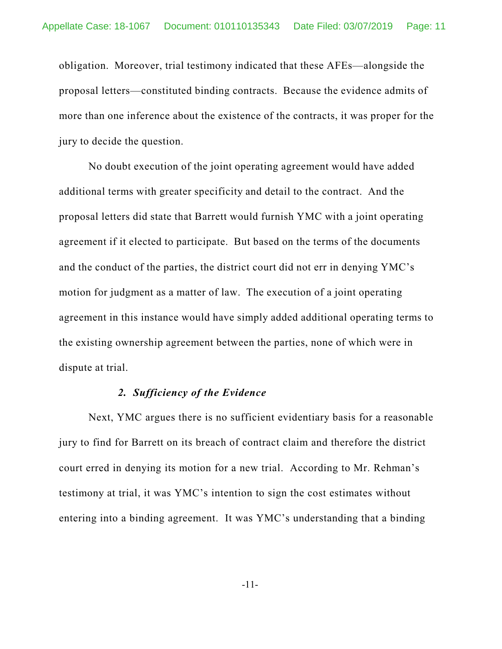obligation. Moreover, trial testimony indicated that these AFEs—alongside the proposal letters—constituted binding contracts. Because the evidence admits of more than one inference about the existence of the contracts, it was proper for the jury to decide the question.

No doubt execution of the joint operating agreement would have added additional terms with greater specificity and detail to the contract. And the proposal letters did state that Barrett would furnish YMC with a joint operating agreement if it elected to participate. But based on the terms of the documents and the conduct of the parties, the district court did not err in denying YMC's motion for judgment as a matter of law. The execution of a joint operating agreement in this instance would have simply added additional operating terms to the existing ownership agreement between the parties, none of which were in dispute at trial.

#### *2. Sufficiency of the Evidence*

Next, YMC argues there is no sufficient evidentiary basis for a reasonable jury to find for Barrett on its breach of contract claim and therefore the district court erred in denying its motion for a new trial. According to Mr. Rehman's testimony at trial, it was YMC's intention to sign the cost estimates without entering into a binding agreement. It was YMC's understanding that a binding

-11-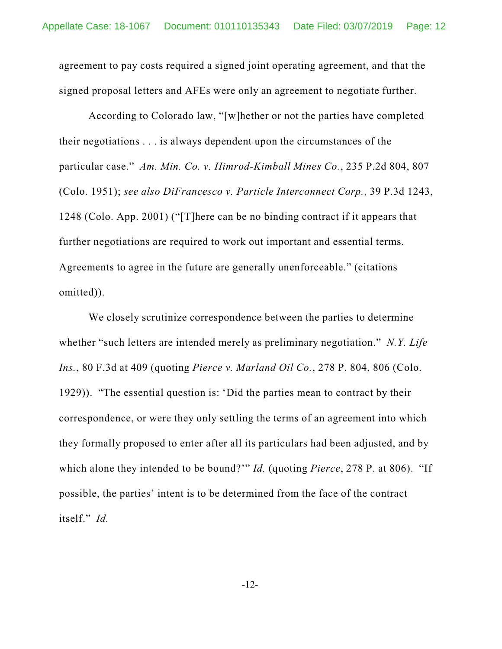agreement to pay costs required a signed joint operating agreement, and that the signed proposal letters and AFEs were only an agreement to negotiate further.

According to Colorado law, "[w]hether or not the parties have completed their negotiations . . . is always dependent upon the circumstances of the particular case." *Am. Min. Co. v. Himrod-Kimball Mines Co.*, 235 P.2d 804, 807 (Colo. 1951); *see also DiFrancesco v. Particle Interconnect Corp.*, 39 P.3d 1243, 1248 (Colo. App. 2001) ("[T]here can be no binding contract if it appears that further negotiations are required to work out important and essential terms. Agreements to agree in the future are generally unenforceable." (citations omitted)).

We closely scrutinize correspondence between the parties to determine whether "such letters are intended merely as preliminary negotiation." *N.Y. Life Ins.*, 80 F.3d at 409 (quoting *Pierce v. Marland Oil Co.*, 278 P. 804, 806 (Colo. 1929)). "The essential question is: 'Did the parties mean to contract by their correspondence, or were they only settling the terms of an agreement into which they formally proposed to enter after all its particulars had been adjusted, and by which alone they intended to be bound?'" *Id.* (quoting *Pierce*, 278 P. at 806). "If possible, the parties' intent is to be determined from the face of the contract itself." *Id.*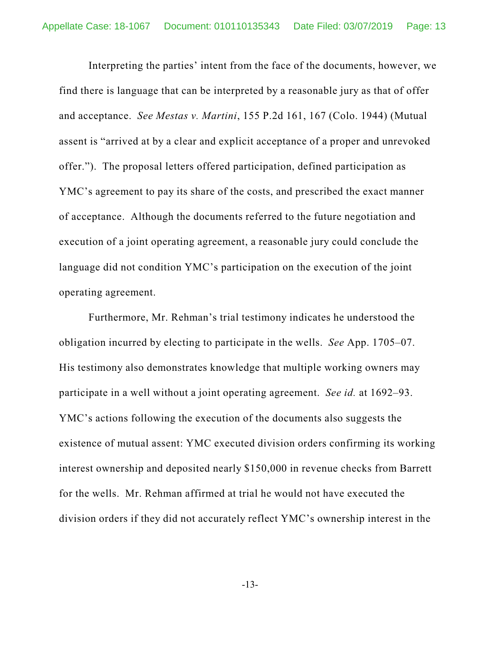Interpreting the parties' intent from the face of the documents, however, we find there is language that can be interpreted by a reasonable jury as that of offer and acceptance. *See Mestas v. Martini*, 155 P.2d 161, 167 (Colo. 1944) (Mutual assent is "arrived at by a clear and explicit acceptance of a proper and unrevoked offer."). The proposal letters offered participation, defined participation as YMC's agreement to pay its share of the costs, and prescribed the exact manner of acceptance. Although the documents referred to the future negotiation and execution of a joint operating agreement, a reasonable jury could conclude the language did not condition YMC's participation on the execution of the joint operating agreement.

Furthermore, Mr. Rehman's trial testimony indicates he understood the obligation incurred by electing to participate in the wells. *See* App. 1705–07. His testimony also demonstrates knowledge that multiple working owners may participate in a well without a joint operating agreement. *See id.* at 1692–93. YMC's actions following the execution of the documents also suggests the existence of mutual assent: YMC executed division orders confirming its working interest ownership and deposited nearly \$150,000 in revenue checks from Barrett for the wells. Mr. Rehman affirmed at trial he would not have executed the division orders if they did not accurately reflect YMC's ownership interest in the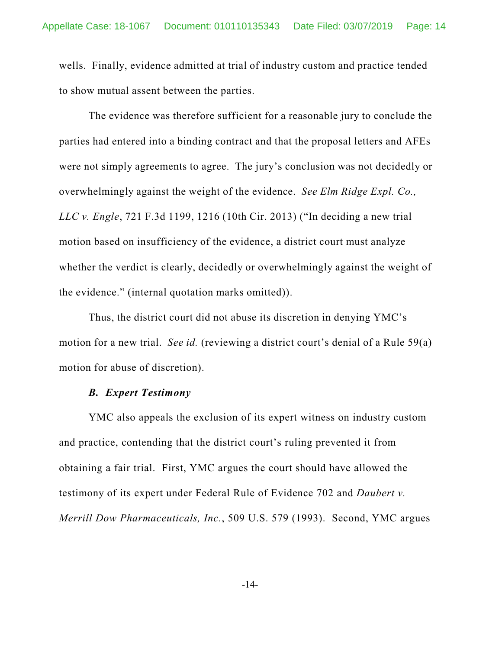wells. Finally, evidence admitted at trial of industry custom and practice tended to show mutual assent between the parties.

The evidence was therefore sufficient for a reasonable jury to conclude the parties had entered into a binding contract and that the proposal letters and AFEs were not simply agreements to agree. The jury's conclusion was not decidedly or overwhelmingly against the weight of the evidence. *See Elm Ridge Expl. Co., LLC v. Engle*, 721 F.3d 1199, 1216 (10th Cir. 2013) ("In deciding a new trial motion based on insufficiency of the evidence, a district court must analyze whether the verdict is clearly, decidedly or overwhelmingly against the weight of the evidence." (internal quotation marks omitted)).

Thus, the district court did not abuse its discretion in denying YMC's motion for a new trial. *See id.* (reviewing a district court's denial of a Rule 59(a) motion for abuse of discretion).

#### *B. Expert Testimony*

YMC also appeals the exclusion of its expert witness on industry custom and practice, contending that the district court's ruling prevented it from obtaining a fair trial. First, YMC argues the court should have allowed the testimony of its expert under Federal Rule of Evidence 702 and *Daubert v. Merrill Dow Pharmaceuticals, Inc.*, 509 U.S. 579 (1993). Second, YMC argues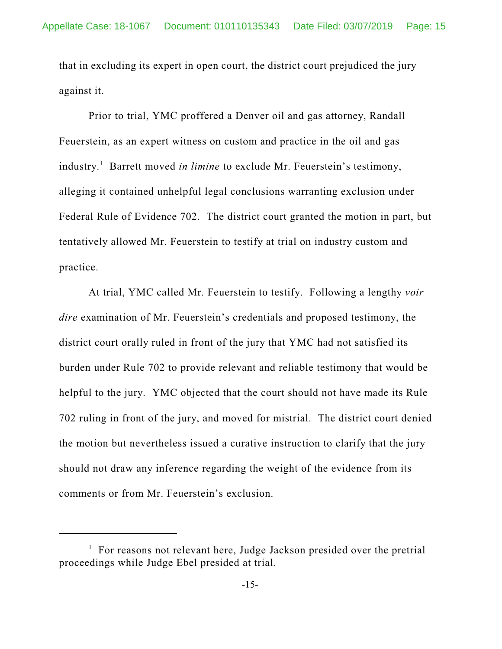that in excluding its expert in open court, the district court prejudiced the jury against it.

Prior to trial, YMC proffered a Denver oil and gas attorney, Randall Feuerstein, as an expert witness on custom and practice in the oil and gas industry. <sup>1</sup> Barrett moved *in limine* to exclude Mr. Feuerstein's testimony, alleging it contained unhelpful legal conclusions warranting exclusion under Federal Rule of Evidence 702. The district court granted the motion in part, but tentatively allowed Mr. Feuerstein to testify at trial on industry custom and practice.

At trial, YMC called Mr. Feuerstein to testify. Following a lengthy *voir dire* examination of Mr. Feuerstein's credentials and proposed testimony, the district court orally ruled in front of the jury that YMC had not satisfied its burden under Rule 702 to provide relevant and reliable testimony that would be helpful to the jury. YMC objected that the court should not have made its Rule 702 ruling in front of the jury, and moved for mistrial. The district court denied the motion but nevertheless issued a curative instruction to clarify that the jury should not draw any inference regarding the weight of the evidence from its comments or from Mr. Feuerstein's exclusion.

 $1$  For reasons not relevant here, Judge Jackson presided over the pretrial proceedings while Judge Ebel presided at trial.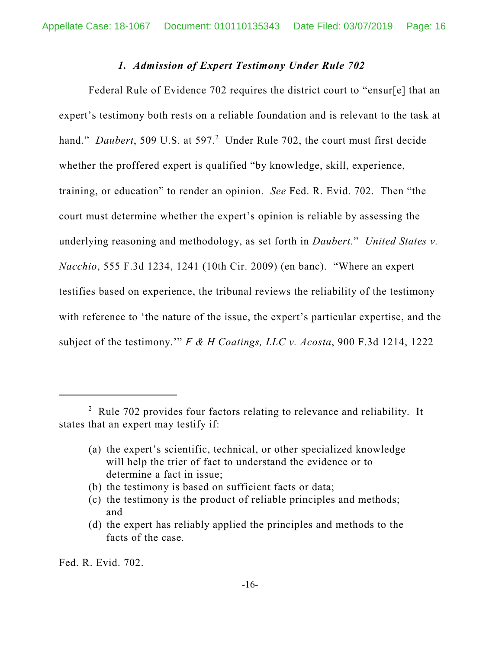#### *1. Admission of Expert Testimony Under Rule 702*

Federal Rule of Evidence 702 requires the district court to "ensur[e] that an expert's testimony both rests on a reliable foundation and is relevant to the task at hand." *Daubert*, 509 U.S. at 597. <sup>2</sup> Under Rule 702, the court must first decide whether the proffered expert is qualified "by knowledge, skill, experience, training, or education" to render an opinion. *See* Fed. R. Evid. 702. Then "the court must determine whether the expert's opinion is reliable by assessing the underlying reasoning and methodology, as set forth in *Daubert*." *United States v. Nacchio*, 555 F.3d 1234, 1241 (10th Cir. 2009) (en banc). "Where an expert testifies based on experience, the tribunal reviews the reliability of the testimony with reference to 'the nature of the issue, the expert's particular expertise, and the subject of the testimony.'" *F & H Coatings, LLC v. Acosta*, 900 F.3d 1214, 1222

Fed. R. Evid. 702.

<sup>2</sup> Rule 702 provides four factors relating to relevance and reliability. It states that an expert may testify if:

<sup>(</sup>a) the expert's scientific, technical, or other specialized knowledge will help the trier of fact to understand the evidence or to determine a fact in issue;

<sup>(</sup>b) the testimony is based on sufficient facts or data;

<sup>(</sup>c) the testimony is the product of reliable principles and methods; and

<sup>(</sup>d) the expert has reliably applied the principles and methods to the facts of the case.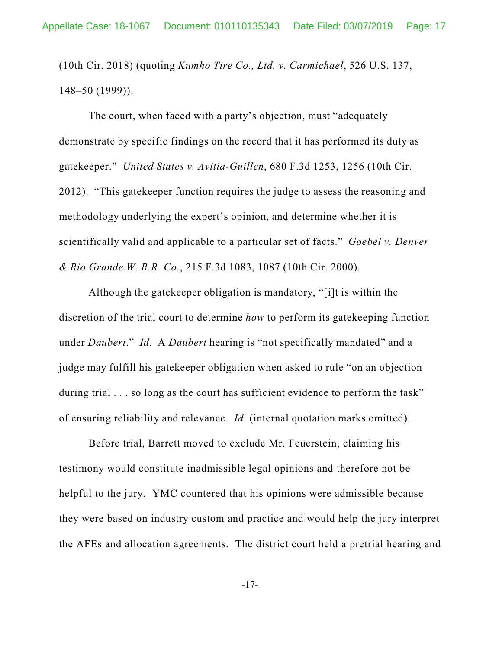(10th Cir. 2018) (quoting *Kumho Tire Co., Ltd. v. Carmichael*, 526 U.S. 137, 148–50 (1999)).

The court, when faced with a party's objection, must "adequately demonstrate by specific findings on the record that it has performed its duty as gatekeeper." *United States v. Avitia-Guillen*, 680 F.3d 1253, 1256 (10th Cir. 2012). "This gatekeeper function requires the judge to assess the reasoning and methodology underlying the expert's opinion, and determine whether it is scientifically valid and applicable to a particular set of facts." *Goebel v. Denver & Rio Grande W. R.R. Co.*, 215 F.3d 1083, 1087 (10th Cir. 2000).

Although the gatekeeper obligation is mandatory, "[i]t is within the discretion of the trial court to determine *how* to perform its gatekeeping function under *Daubert*." *Id.* A *Daubert* hearing is "not specifically mandated" and a judge may fulfill his gatekeeper obligation when asked to rule "on an objection during trial . . . so long as the court has sufficient evidence to perform the task" of ensuring reliability and relevance. *Id.* (internal quotation marks omitted).

Before trial, Barrett moved to exclude Mr. Feuerstein, claiming his testimony would constitute inadmissible legal opinions and therefore not be helpful to the jury. YMC countered that his opinions were admissible because they were based on industry custom and practice and would help the jury interpret the AFEs and allocation agreements. The district court held a pretrial hearing and

-17-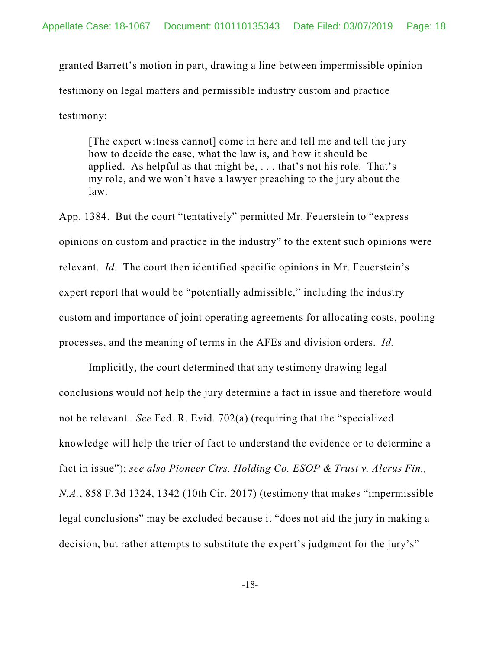granted Barrett's motion in part, drawing a line between impermissible opinion testimony on legal matters and permissible industry custom and practice testimony:

[The expert witness cannot] come in here and tell me and tell the jury how to decide the case, what the law is, and how it should be applied. As helpful as that might be,  $\dots$  that's not his role. That's my role, and we won't have a lawyer preaching to the jury about the law.

App. 1384. But the court "tentatively" permitted Mr. Feuerstein to "express opinions on custom and practice in the industry" to the extent such opinions were relevant. *Id.* The court then identified specific opinions in Mr. Feuerstein's expert report that would be "potentially admissible," including the industry custom and importance of joint operating agreements for allocating costs, pooling processes, and the meaning of terms in the AFEs and division orders. *Id.*

Implicitly, the court determined that any testimony drawing legal conclusions would not help the jury determine a fact in issue and therefore would not be relevant. *See* Fed. R. Evid. 702(a) (requiring that the "specialized knowledge will help the trier of fact to understand the evidence or to determine a fact in issue"); *see also Pioneer Ctrs. Holding Co. ESOP & Trust v. Alerus Fin., N.A.*, 858 F.3d 1324, 1342 (10th Cir. 2017) (testimony that makes "impermissible legal conclusions" may be excluded because it "does not aid the jury in making a decision, but rather attempts to substitute the expert's judgment for the jury's"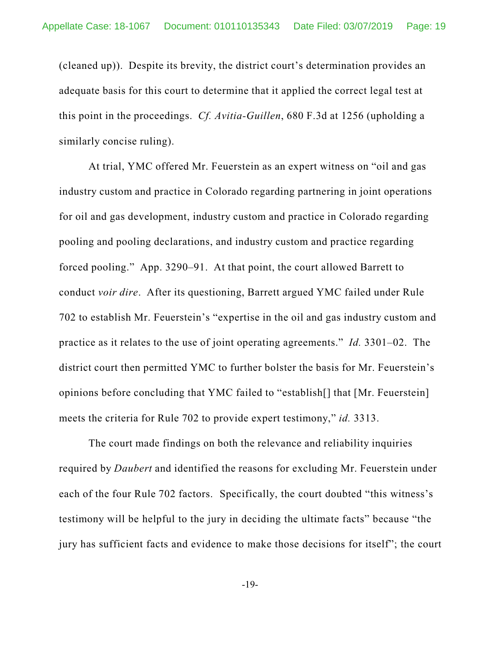(cleaned up)). Despite its brevity, the district court's determination provides an adequate basis for this court to determine that it applied the correct legal test at this point in the proceedings. *Cf. Avitia-Guillen*, 680 F.3d at 1256 (upholding a similarly concise ruling).

At trial, YMC offered Mr. Feuerstein as an expert witness on "oil and gas industry custom and practice in Colorado regarding partnering in joint operations for oil and gas development, industry custom and practice in Colorado regarding pooling and pooling declarations, and industry custom and practice regarding forced pooling." App. 3290–91. At that point, the court allowed Barrett to conduct *voir dire*. After its questioning, Barrett argued YMC failed under Rule 702 to establish Mr. Feuerstein's "expertise in the oil and gas industry custom and practice as it relates to the use of joint operating agreements." *Id.* 3301–02. The district court then permitted YMC to further bolster the basis for Mr. Feuerstein's opinions before concluding that YMC failed to "establish[] that [Mr. Feuerstein] meets the criteria for Rule 702 to provide expert testimony," *id.* 3313.

The court made findings on both the relevance and reliability inquiries required by *Daubert* and identified the reasons for excluding Mr. Feuerstein under each of the four Rule 702 factors. Specifically, the court doubted "this witness's testimony will be helpful to the jury in deciding the ultimate facts" because "the jury has sufficient facts and evidence to make those decisions for itself"; the court

-19-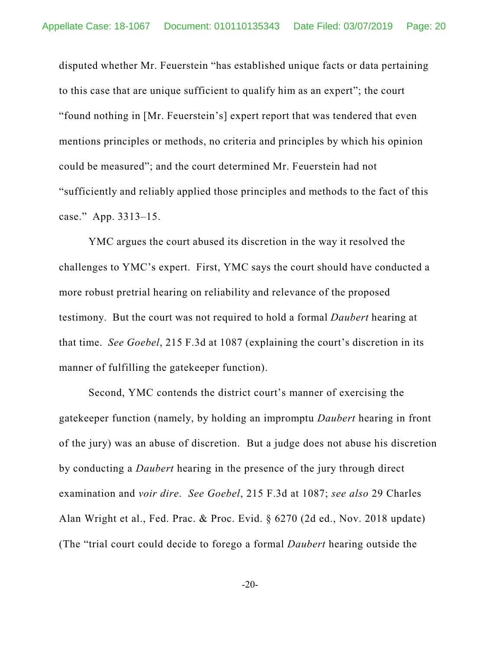disputed whether Mr. Feuerstein "has established unique facts or data pertaining to this case that are unique sufficient to qualify him as an expert"; the court "found nothing in [Mr. Feuerstein's] expert report that was tendered that even mentions principles or methods, no criteria and principles by which his opinion could be measured"; and the court determined Mr. Feuerstein had not "sufficiently and reliably applied those principles and methods to the fact of this case." App. 3313–15.

YMC argues the court abused its discretion in the way it resolved the challenges to YMC's expert. First, YMC says the court should have conducted a more robust pretrial hearing on reliability and relevance of the proposed testimony. But the court was not required to hold a formal *Daubert* hearing at that time. *See Goebel*, 215 F.3d at 1087 (explaining the court's discretion in its manner of fulfilling the gatekeeper function).

Second, YMC contends the district court's manner of exercising the gatekeeper function (namely, by holding an impromptu *Daubert* hearing in front of the jury) was an abuse of discretion. But a judge does not abuse his discretion by conducting a *Daubert* hearing in the presence of the jury through direct examination and *voir dire*. *See Goebel*, 215 F.3d at 1087; *see also* 29 Charles Alan Wright et al., Fed. Prac. & Proc. Evid. § 6270 (2d ed., Nov. 2018 update) (The "trial court could decide to forego a formal *Daubert* hearing outside the

-20-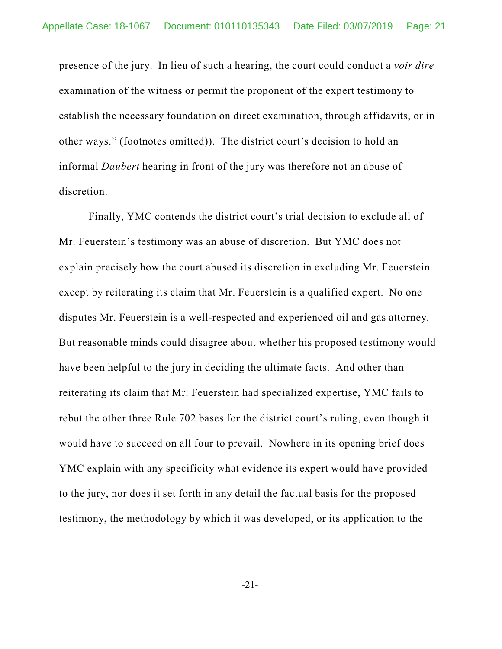presence of the jury. In lieu of such a hearing, the court could conduct a *voir dire* examination of the witness or permit the proponent of the expert testimony to establish the necessary foundation on direct examination, through affidavits, or in other ways." (footnotes omitted)). The district court's decision to hold an informal *Daubert* hearing in front of the jury was therefore not an abuse of discretion.

Finally, YMC contends the district court's trial decision to exclude all of Mr. Feuerstein's testimony was an abuse of discretion. But YMC does not explain precisely how the court abused its discretion in excluding Mr. Feuerstein except by reiterating its claim that Mr. Feuerstein is a qualified expert. No one disputes Mr. Feuerstein is a well-respected and experienced oil and gas attorney. But reasonable minds could disagree about whether his proposed testimony would have been helpful to the jury in deciding the ultimate facts. And other than reiterating its claim that Mr. Feuerstein had specialized expertise, YMC fails to rebut the other three Rule 702 bases for the district court's ruling, even though it would have to succeed on all four to prevail. Nowhere in its opening brief does YMC explain with any specificity what evidence its expert would have provided to the jury, nor does it set forth in any detail the factual basis for the proposed testimony, the methodology by which it was developed, or its application to the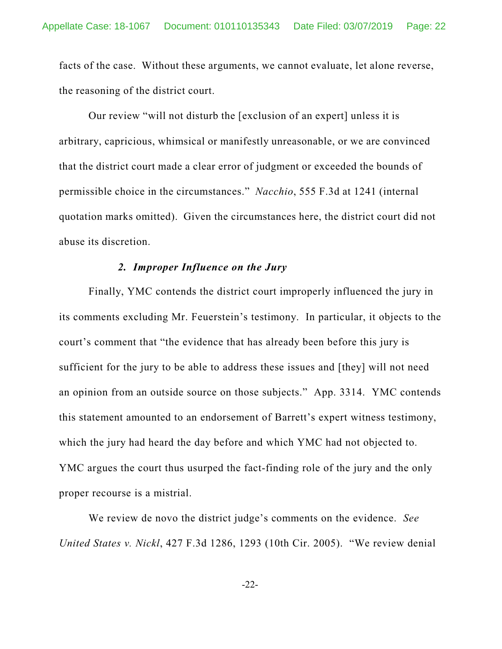facts of the case. Without these arguments, we cannot evaluate, let alone reverse, the reasoning of the district court.

Our review "will not disturb the [exclusion of an expert] unless it is arbitrary, capricious, whimsical or manifestly unreasonable, or we are convinced that the district court made a clear error of judgment or exceeded the bounds of permissible choice in the circumstances." *Nacchio*, 555 F.3d at 1241 (internal quotation marks omitted). Given the circumstances here, the district court did not abuse its discretion.

### *2. Improper Influence on the Jury*

Finally, YMC contends the district court improperly influenced the jury in its comments excluding Mr. Feuerstein's testimony. In particular, it objects to the court's comment that "the evidence that has already been before this jury is sufficient for the jury to be able to address these issues and [they] will not need an opinion from an outside source on those subjects." App. 3314. YMC contends this statement amounted to an endorsement of Barrett's expert witness testimony, which the jury had heard the day before and which YMC had not objected to. YMC argues the court thus usurped the fact-finding role of the jury and the only proper recourse is a mistrial.

We review de novo the district judge's comments on the evidence. *See United States v. Nickl*, 427 F.3d 1286, 1293 (10th Cir. 2005). "We review denial

-22-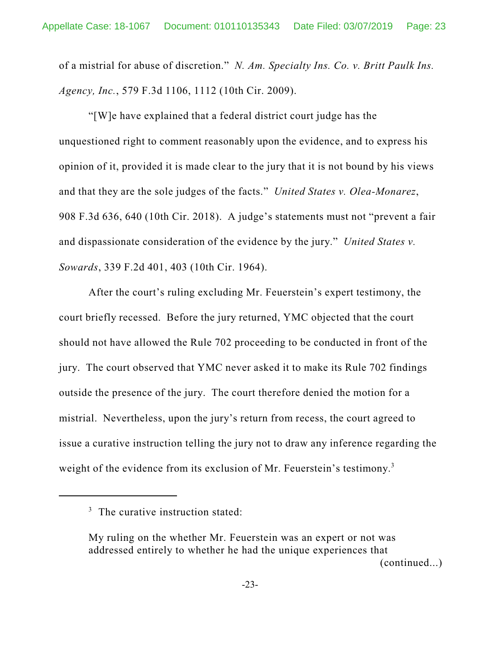of a mistrial for abuse of discretion." *N. Am. Specialty Ins. Co. v. Britt Paulk Ins. Agency, Inc.*, 579 F.3d 1106, 1112 (10th Cir. 2009).

"[W]e have explained that a federal district court judge has the unquestioned right to comment reasonably upon the evidence, and to express his opinion of it, provided it is made clear to the jury that it is not bound by his views and that they are the sole judges of the facts." *United States v. Olea-Monarez*, 908 F.3d 636, 640 (10th Cir. 2018). A judge's statements must not "prevent a fair and dispassionate consideration of the evidence by the jury." *United States v. Sowards*, 339 F.2d 401, 403 (10th Cir. 1964).

After the court's ruling excluding Mr. Feuerstein's expert testimony, the court briefly recessed. Before the jury returned, YMC objected that the court should not have allowed the Rule 702 proceeding to be conducted in front of the jury. The court observed that YMC never asked it to make its Rule 702 findings outside the presence of the jury. The court therefore denied the motion for a mistrial. Nevertheless, upon the jury's return from recess, the court agreed to issue a curative instruction telling the jury not to draw any inference regarding the weight of the evidence from its exclusion of Mr. Feuerstein's testimony.<sup>3</sup>

 $3$  The curative instruction stated:

My ruling on the whether Mr. Feuerstein was an expert or not was addressed entirely to whether he had the unique experiences that (continued...)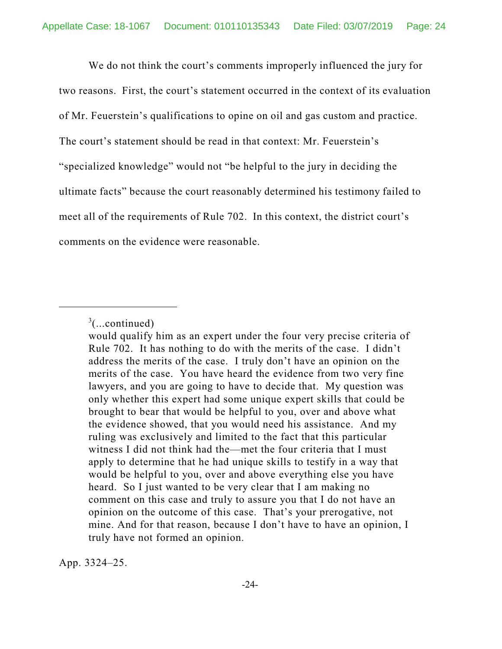We do not think the court's comments improperly influenced the jury for two reasons. First, the court's statement occurred in the context of its evaluation of Mr. Feuerstein's qualifications to opine on oil and gas custom and practice. The court's statement should be read in that context: Mr. Feuerstein's "specialized knowledge" would not "be helpful to the jury in deciding the ultimate facts" because the court reasonably determined his testimony failed to meet all of the requirements of Rule 702. In this context, the district court's comments on the evidence were reasonable.

App. 3324–25.

 $3$ (...continued)

would qualify him as an expert under the four very precise criteria of Rule 702. It has nothing to do with the merits of the case. I didn't address the merits of the case. I truly don't have an opinion on the merits of the case. You have heard the evidence from two very fine lawyers, and you are going to have to decide that. My question was only whether this expert had some unique expert skills that could be brought to bear that would be helpful to you, over and above what the evidence showed, that you would need his assistance. And my ruling was exclusively and limited to the fact that this particular witness I did not think had the—met the four criteria that I must apply to determine that he had unique skills to testify in a way that would be helpful to you, over and above everything else you have heard. So I just wanted to be very clear that I am making no comment on this case and truly to assure you that I do not have an opinion on the outcome of this case. That's your prerogative, not mine. And for that reason, because I don't have to have an opinion, I truly have not formed an opinion.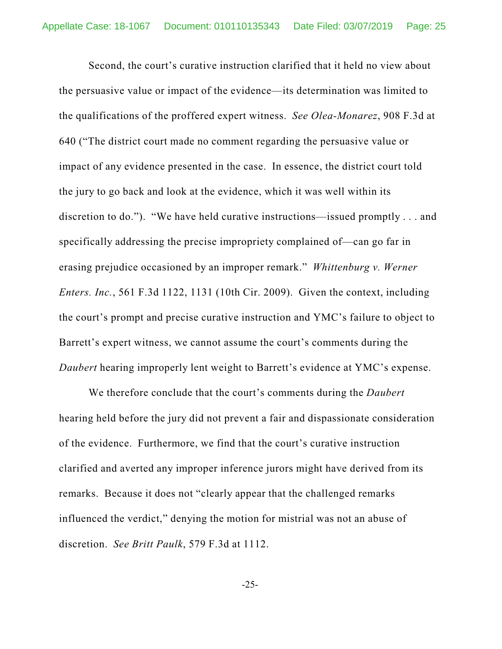Second, the court's curative instruction clarified that it held no view about the persuasive value or impact of the evidence—its determination was limited to the qualifications of the proffered expert witness. *See Olea-Monarez*, 908 F.3d at 640 ("The district court made no comment regarding the persuasive value or impact of any evidence presented in the case. In essence, the district court told the jury to go back and look at the evidence, which it was well within its discretion to do."). "We have held curative instructions—issued promptly . . . and specifically addressing the precise impropriety complained of—can go far in erasing prejudice occasioned by an improper remark." *Whittenburg v. Werner Enters. Inc.*, 561 F.3d 1122, 1131 (10th Cir. 2009). Given the context, including the court's prompt and precise curative instruction and YMC's failure to object to Barrett's expert witness, we cannot assume the court's comments during the *Daubert* hearing improperly lent weight to Barrett's evidence at YMC's expense.

We therefore conclude that the court's comments during the *Daubert* hearing held before the jury did not prevent a fair and dispassionate consideration of the evidence. Furthermore, we find that the court's curative instruction clarified and averted any improper inference jurors might have derived from its remarks. Because it does not "clearly appear that the challenged remarks influenced the verdict," denying the motion for mistrial was not an abuse of discretion. *See Britt Paulk*, 579 F.3d at 1112.

-25-